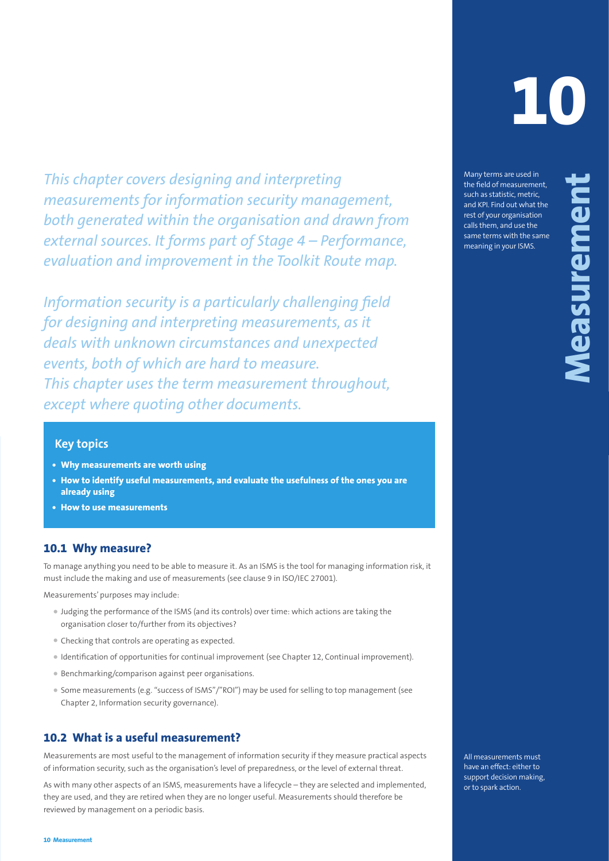*This chapter covers designing and interpreting measurements for information security management, both generated within the organisation and drawn from external sources. It forms part of Stage 4 – Performance, evaluation and improvement in the Toolkit Route map.*

This chapter covers designing and interpreting one interpreting in the system of the systems of the systems of the systems of the systems of the systems of the systems of the systems of the systems of the systems of the sy *Information security is a particularly challenging field for designing and interpreting measurements, as it deals with unknown circumstances and unexpected events, both of which are hard to measure. This chapter uses the term measurement throughout, except where quoting other documents.*

# **Key topics**

- **• Why measurements are worth using**
- **• How to identify useful measurements, and evaluate the usefulness of the ones you are already using**
- **• How to use measurements**

### **10.1 Why measure?**

To manage anything you need to be able to measure it. As an ISMS is the tool for managing information risk, it must include the making and use of measurements (see clause 9 in ISO/IEC 27001).

Measurements' purposes may include:

- Judging the performance of the ISMS (and its controls) over time: which actions are taking the organisation closer to/further from its objectives?
- Checking that controls are operating as expected.
- Identification of opportunities for continual improvement (see Chapter 12, Continual improvement).
- Benchmarking/comparison against peer organisations.
- Some measurements (e.g. "success of ISMS"/"ROI") may be used for selling to top management (see Chapter 2, Information security governance).

### **10.2 What is a useful measurement?**

Measurements are most useful to the management of information security if they measure practical aspects of information security, such as the organisation's level of preparedness, or the level of external threat.

As with many other aspects of an ISMS, measurements have a lifecycle – they are selected and implemented, they are used, and they are retired when they are no longer useful. Measurements should therefore be reviewed by management on a periodic basis.

**10**

Many terms are used in the field of measurement, such as statistic, metric, and KPI. Find out what the rest of your organisation calls them, and use the same terms with the same meaning in your ISMS.

All measurements must have an effect: either to support decision making, or to spark action.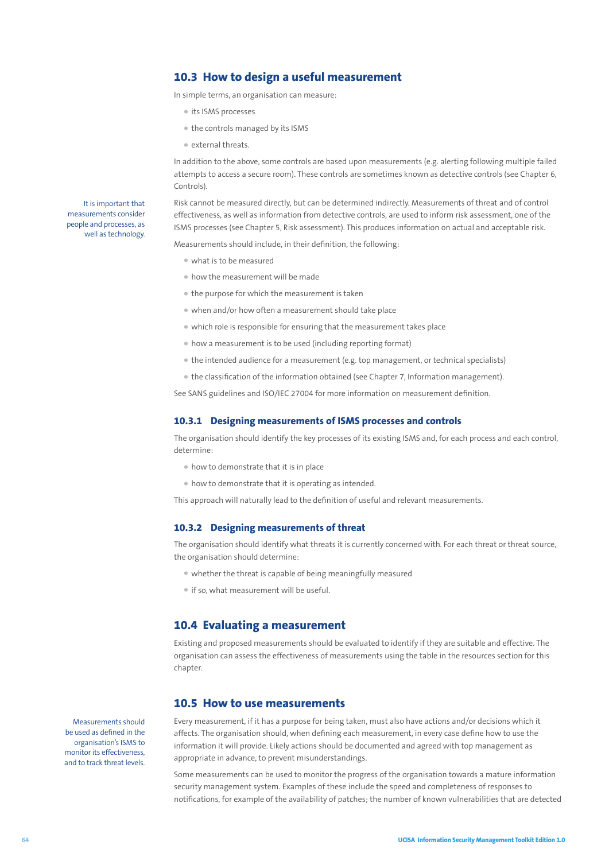# **10.3 How to design a useful measurement**

In simple terms, an organisation can measure:

- its ISMS processes
- the controls managed by its ISMS
- external threats.

In addition to the above, some controls are based upon measurements (e.g. alerting following multiple failed attempts to access a secure room). These controls are sometimes known as detective controls (see Chapter 6, Controls).

Risk cannot be measured directly, but can be determined indirectly. Measurements of threat and of control effectiveness, as well as information from detective controls, are used to inform risk assessment, one of the ISMS processes (see Chapter 5, Risk assessment). This produces information on actual and acceptable risk.

Measurements should include, in their definition, the following:

- what is to be measured
- how the measurement will be made
- the purpose for which the measurement is taken
- when and/or how often a measurement should take place
- which role is responsible for ensuring that the measurement takes place
- how a measurement is to be used (including reporting format)
- the intended audience for a measurement (e.g. top management, or technical specialists)
- the classification of the information obtained (see Chapter 7, Information management).

See SANS guidelines and ISO/IEC 27004 for more information on measurement definition.

#### **10.3.1 Designing measurements of ISMS processes and controls**

The organisation should identify the key processes of its existing ISMS and, for each process and each control, determine:

- how to demonstrate that it is in place
- how to demonstrate that it is operating as intended.

This approach will naturally lead to the definition of useful and relevant measurements.

#### **10.3.2 Designing measurements of threat**

The organisation should identify what threats it is currently concerned with. For each threat or threat source, the organisation should determine:

- whether the threat is capable of being meaningfully measured
- if so, what measurement will be useful.

### **10.4 Evaluating a measurement**

Existing and proposed measurements should be evaluated to identify if they are suitable and effective. The organisation can assess the effectiveness of measurements using the table in the resources section for this chapter.

### **10.5 How to use measurements**

Every measurement, if it has a purpose for being taken, must also have actions and/or decisions which it affects. The organisation should, when defining each measurement, in every case define how to use the information it will provide. Likely actions should be documented and agreed with top management as appropriate in advance, to prevent misunderstandings.

Some measurements can be used to monitor the progress of the organisation towards a mature information security management system. Examples of these include the speed and completeness of responses to notifications, for example of the availability of patches; the number of known vulnerabilities that are detected

Measurements should be used as defined in the organisation's ISMS to monitor its effectiveness, and to track threat levels.

It is important that measurements consider people and processes, as well as technology.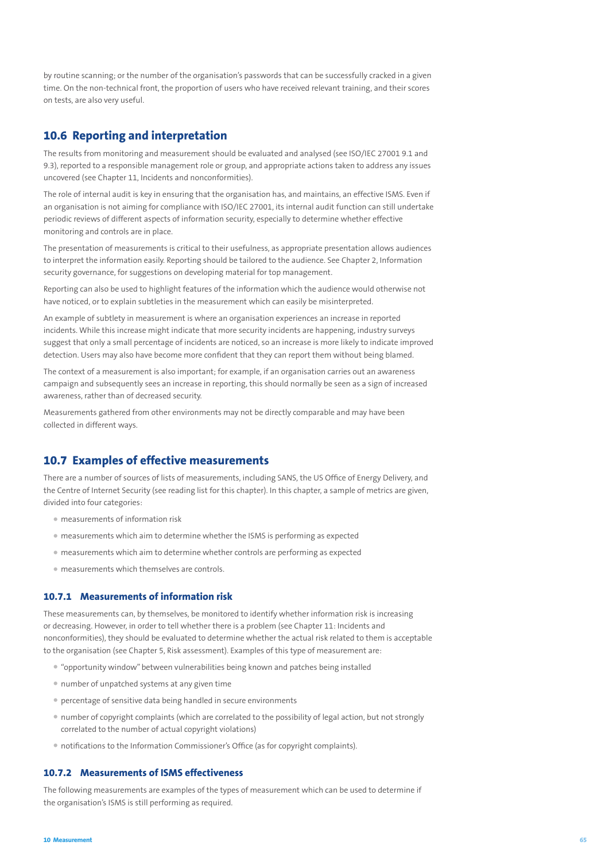by routine scanning; or the number of the organisation's passwords that can be successfully cracked in a given time. On the non-technical front, the proportion of users who have received relevant training, and their scores on tests, are also very useful.

# **10.6 Reporting and interpretation**

The results from monitoring and measurement should be evaluated and analysed (see ISO/IEC 27001 9.1 and 9.3), reported to a responsible management role or group, and appropriate actions taken to address any issues uncovered (see Chapter 11, Incidents and nonconformities).

The role of internal audit is key in ensuring that the organisation has, and maintains, an effective ISMS. Even if an organisation is not aiming for compliance with ISO/IEC 27001, its internal audit function can still undertake periodic reviews of different aspects of information security, especially to determine whether effective monitoring and controls are in place.

The presentation of measurements is critical to their usefulness, as appropriate presentation allows audiences to interpret the information easily. Reporting should be tailored to the audience. See Chapter 2, Information security governance, for suggestions on developing material for top management.

Reporting can also be used to highlight features of the information which the audience would otherwise not have noticed, or to explain subtleties in the measurement which can easily be misinterpreted.

An example of subtlety in measurement is where an organisation experiences an increase in reported incidents. While this increase might indicate that more security incidents are happening, industry surveys suggest that only a small percentage of incidents are noticed, so an increase is more likely to indicate improved detection. Users may also have become more confident that they can report them without being blamed.

The context of a measurement is also important; for example, if an organisation carries out an awareness campaign and subsequently sees an increase in reporting, this should normally be seen as a sign of increased awareness, rather than of decreased security.

Measurements gathered from other environments may not be directly comparable and may have been collected in different ways.

# **10.7 Examples of effective measurements**

There are a number of sources of lists of measurements, including SANS, the US Office of Energy Delivery, and the Centre of Internet Security (see reading list for this chapter). In this chapter, a sample of metrics are given, divided into four categories:

- measurements of information risk
- measurements which aim to determine whether the ISMS is performing as expected
- measurements which aim to determine whether controls are performing as expected
- measurements which themselves are controls.

#### **10.7.1 Measurements of information risk**

These measurements can, by themselves, be monitored to identify whether information risk is increasing or decreasing. However, in order to tell whether there is a problem (see Chapter 11: Incidents and nonconformities), they should be evaluated to determine whether the actual risk related to them is acceptable to the organisation (see Chapter 5, Risk assessment). Examples of this type of measurement are:

- "opportunity window" between vulnerabilities being known and patches being installed
- number of unpatched systems at any given time
- percentage of sensitive data being handled in secure environments
- number of copyright complaints (which are correlated to the possibility of legal action, but not strongly correlated to the number of actual copyright violations)
- notifications to the Information Commissioner's Office (as for copyright complaints).

### **10.7.2 Measurements of ISMS effectiveness**

The following measurements are examples of the types of measurement which can be used to determine if the organisation's ISMS is still performing as required.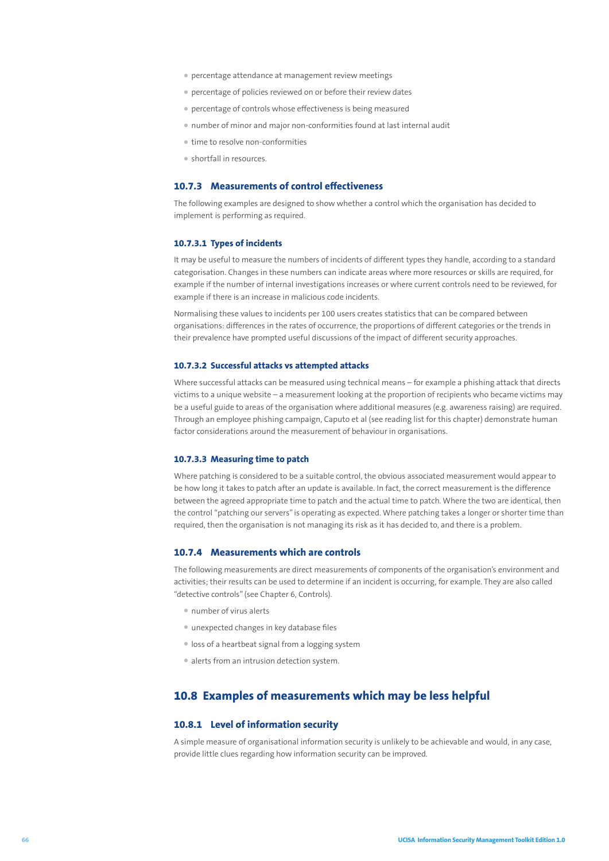- percentage attendance at management review meetings
- percentage of policies reviewed on or before their review dates
- percentage of controls whose effectiveness is being measured
- number of minor and major non-conformities found at last internal audit
- time to resolve non-conformities
- shortfall in resources.

### **10.7.3 Measurements of control effectiveness**

The following examples are designed to show whether a control which the organisation has decided to implement is performing as required.

#### **10.7.3.1 Types of incidents**

It may be useful to measure the numbers of incidents of different types they handle, according to a standard categorisation. Changes in these numbers can indicate areas where more resources or skills are required, for example if the number of internal investigations increases or where current controls need to be reviewed, for example if there is an increase in malicious code incidents.

Normalising these values to incidents per 100 users creates statistics that can be compared between organisations: differences in the rates of occurrence, the proportions of different categories or the trends in their prevalence have prompted useful discussions of the impact of different security approaches.

#### **10.7.3.2 Successful attacks vs attempted attacks**

Where successful attacks can be measured using technical means – for example a phishing attack that directs victims to a unique website – a measurement looking at the proportion of recipients who became victims may be a useful guide to areas of the organisation where additional measures (e.g. awareness raising) are required. Through an employee phishing campaign, Caputo et al (see reading list for this chapter) demonstrate human factor considerations around the measurement of behaviour in organisations.

#### **10.7.3.3 Measuring time to patch**

Where patching is considered to be a suitable control, the obvious associated measurement would appear to be how long it takes to patch after an update is available. In fact, the correct measurement is the difference between the agreed appropriate time to patch and the actual time to patch. Where the two are identical, then the control "patching our servers" is operating as expected. Where patching takes a longer or shorter time than required, then the organisation is not managing its risk as it has decided to, and there is a problem.

### **10.7.4 Measurements which are controls**

The following measurements are direct measurements of components of the organisation's environment and activities; their results can be used to determine if an incident is occurring, for example. They are also called "detective controls" (see Chapter 6, Controls).

- number of virus alerts
- unexpected changes in key database files
- loss of a heartbeat signal from a logging system
- alerts from an intrusion detection system.

# **10.8 Examples of measurements which may be less helpful**

### **10.8.1 Level of information security**

A simple measure of organisational information security is unlikely to be achievable and would, in any case, provide little clues regarding how information security can be improved.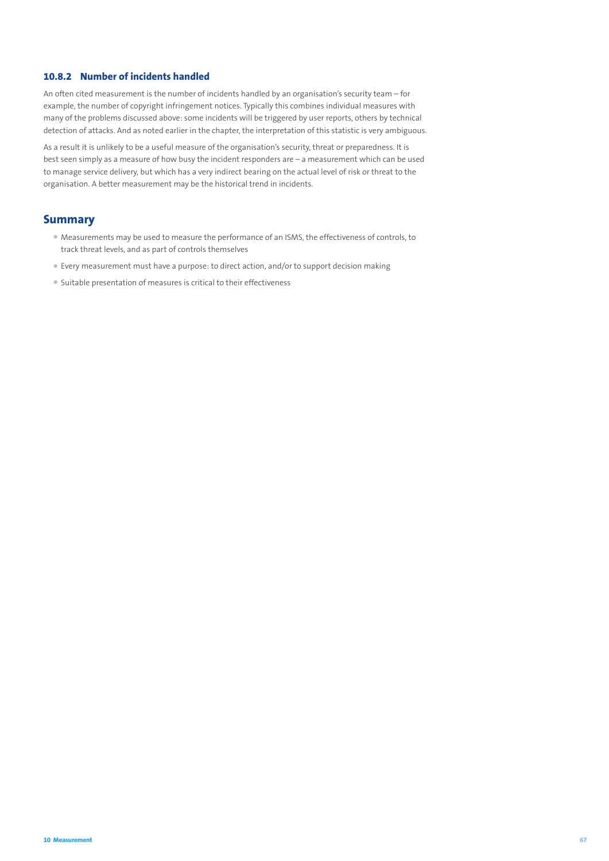## **10.8.2 Number of incidents handled**

An often cited measurement is the number of incidents handled by an organisation's security team – for example, the number of copyright infringement notices. Typically this combines individual measures with many of the problems discussed above: some incidents will be triggered by user reports, others by technical detection of attacks. And as noted earlier in the chapter, the interpretation of this statistic is very ambiguous.

As a result it is unlikely to be a useful measure of the organisation's security, threat or preparedness. It is best seen simply as a measure of how busy the incident responders are – a measurement which can be used to manage service delivery, but which has a very indirect bearing on the actual level of risk or threat to the organisation. A better measurement may be the historical trend in incidents.

## **Summary**

- Measurements may be used to measure the performance of an ISMS, the effectiveness of controls, to track threat levels, and as part of controls themselves
- Every measurement must have a purpose: to direct action, and/or to support decision making
- Suitable presentation of measures is critical to their effectiveness